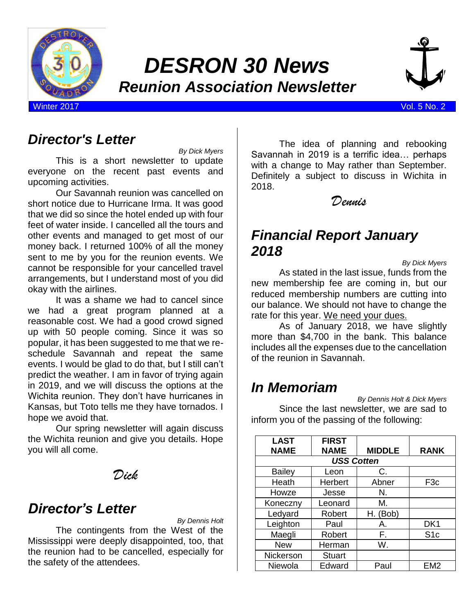

# *DESRON 30 News Reunion Association Newsletter*



Winter 2017 Vol. 5 No. 2

### *Director's Letter*

*By Dick Myers* This is a short newsletter to update everyone on the recent past events and upcoming activities.

Our Savannah reunion was cancelled on short notice due to Hurricane Irma. It was good that we did so since the hotel ended up with four feet of water inside. I cancelled all the tours and other events and managed to get most of our money back. I returned 100% of all the money sent to me by you for the reunion events. We cannot be responsible for your cancelled travel arrangements, but I understand most of you did okay with the airlines.

It was a shame we had to cancel since we had a great program planned at a reasonable cost. We had a good crowd signed up with 50 people coming. Since it was so popular, it has been suggested to me that we reschedule Savannah and repeat the same events. I would be glad to do that, but I still can't predict the weather. I am in favor of trying again in 2019, and we will discuss the options at the Wichita reunion. They don't have hurricanes in Kansas, but Toto tells me they have tornados. I hope we avoid that.

Our spring newsletter will again discuss the Wichita reunion and give you details. Hope you will all come.

*Dick*

### *Director's Letter*

*By Dennis Holt*

The contingents from the West of the Mississippi were deeply disappointed, too, that the reunion had to be cancelled, especially for the safety of the attendees.

The idea of planning and rebooking Savannah in 2019 is a terrific idea… perhaps with a change to May rather than September. Definitely a subject to discuss in Wichita in 2018.

*Dennis*

### *Financial Report January 2018*

*By Dick Myers*

As stated in the last issue, funds from the new membership fee are coming in, but our reduced membership numbers are cutting into our balance. We should not have to change the rate for this year. We need your dues.

As of January 2018, we have slightly more than \$4,700 in the bank. This balance includes all the expenses due to the cancellation of the reunion in Savannah.

## *In Memoriam*

*By Dennis Holt & Dick Myers* Since the last newsletter, we are sad to inform you of the passing of the following:

| <b>LAST</b>   | <b>FIRST</b>      |               |                 |
|---------------|-------------------|---------------|-----------------|
| <b>NAME</b>   | <b>NAME</b>       | <b>MIDDLE</b> | <b>RANK</b>     |
|               | <b>USS Cotten</b> |               |                 |
| <b>Bailey</b> | Leon              | C.            |                 |
| Heath         | Herbert           | Abner         | F <sub>3c</sub> |
| Howze         | Jesse             | N.            |                 |
| Koneczny      | Leonard           | М.            |                 |
| Ledyard       | Robert            | H. (Bob)      |                 |
| Leighton      | Paul              | А.            | DK <sub>1</sub> |
| Maegli        | Robert            | F.            | S <sub>1c</sub> |
| <b>New</b>    | Herman            | W.            |                 |
| Nickerson     | <b>Stuart</b>     |               |                 |
| Niewola       | Edward            | Paul          | EM <sub>2</sub> |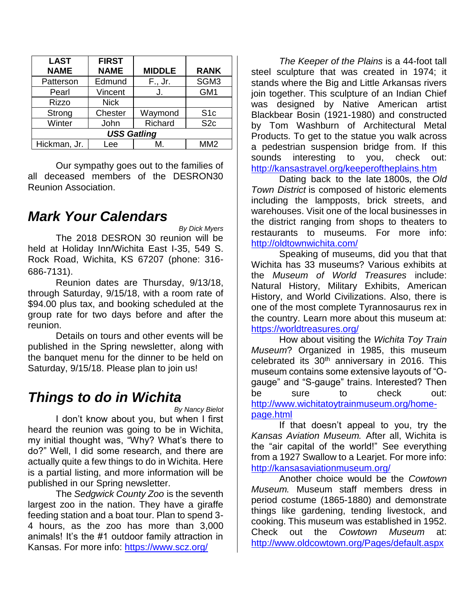| <b>LAST</b><br><b>NAME</b> | <b>FIRST</b><br><b>NAME</b> | <b>MIDDLE</b> | <b>RANK</b>     |
|----------------------------|-----------------------------|---------------|-----------------|
| Patterson                  | Edmund                      | F., Jr.       | SGM3            |
| Pearl                      | Vincent                     | J.            | GM <sub>1</sub> |
| <b>Rizzo</b>               | <b>Nick</b>                 |               |                 |
| Strong                     | Chester                     | Waymond       | S <sub>1c</sub> |
| Winter                     | John                        | Richard       | S <sub>2c</sub> |
|                            | <b>USS Gatling</b>          |               |                 |
| Hickman, Jr.               | -ee                         | M             | MM <sub>2</sub> |

Our sympathy goes out to the families of all deceased members of the DESRON30 Reunion Association.

#### *Mark Your Calendars*

*By Dick Myers* The 2018 DESRON 30 reunion will be held at Holiday Inn/Wichita East I-35, 549 S. Rock Road, Wichita, KS 67207 (phone: 316- 686-7131).

Reunion dates are Thursday, 9/13/18, through Saturday, 9/15/18, with a room rate of \$94.00 plus tax, and booking scheduled at the group rate for two days before and after the reunion.

Details on tours and other events will be published in the Spring newsletter, along with the banquet menu for the dinner to be held on Saturday, 9/15/18. Please plan to join us!

#### *Things to do in Wichita*

*By Nancy Bielot*

I don't know about you, but when I first heard the reunion was going to be in Wichita, my initial thought was, "Why? What's there to do?" Well, I did some research, and there are actually quite a few things to do in Wichita. Here is a partial listing, and more information will be published in our Spring newsletter.

The *[Sedgwick County Zoo](https://www.visitwichita.com/things-to-do/outdoors/wildlife-zoos/sedgwick-county-zoo/)* is the seventh largest zoo in the nation. They have a giraffe feeding station and a boat tour. Plan to spend 3- 4 hours, as the zoo has more than 3,000 animals! It's the #1 outdoor family attraction in Kansas. For more info:<https://www.scz.org/>

*[The Keeper of the Plains](https://www.visitwichita.com/things-to-do/attractions/keeper-of-the-plains/)* is a 44-foot tall steel sculpture that was created in 1974; it stands where the Big and Little Arkansas rivers join together. This sculpture of an Indian Chief was designed by Native American artist Blackbear Bosin (1921-1980) and constructed by Tom Washburn of Architectural Metal Products. To get to the statue you walk across a pedestrian suspension bridge from. If this sounds interesting to you, check out: <http://kansastravel.org/keeperoftheplains.htm>

Dating back to the late 1800s, the *[Old](https://www.visitwichita.com/listing/old-town-district/28039/)  [Town District](https://www.visitwichita.com/listing/old-town-district/28039/)* is composed of historic elements including the lampposts, brick streets, and warehouses. Visit one of the local businesses in the district ranging from shops to theaters to restaurants to museums. For more info: <http://oldtownwichita.com/>

Speaking of museums, did you that that Wichita has 33 museums? Various exhibits at the *Museum of World Treasures* include: Natural History, Military Exhibits, American History, and World Civilizations. Also, there is one of the most complete Tyrannosaurus rex in the country. Learn more about this museum at: <https://worldtreasures.org/>

How about visiting the *Wichita Toy Train Museum*? Organized in 1985, this museum celebrated its  $30<sup>th</sup>$  anniversary in 2016. This museum contains some extensive layouts of "Ogauge" and "S-gauge" trains. Interested? Then be sure to check out: [http://www.wichitatoytrainmuseum.org/home](http://www.wichitatoytrainmuseum.org/home-page.html)[page.html](http://www.wichitatoytrainmuseum.org/home-page.html)

If that doesn't appeal to you, try the *Kansas Aviation Museum.* After all, Wichita is the "air capital of the world!" See everything from a 1927 Swallow to a Learjet. For more info: <http://kansasaviationmuseum.org/>

Another choice would be the *Cowtown Museum.* Museum staff members dress in period costume (1865-1880) and demonstrate things like gardening, tending livestock, and cooking. This museum was established in 1952. Check out the *Cowtown Museum* at: <http://www.oldcowtown.org/Pages/default.aspx>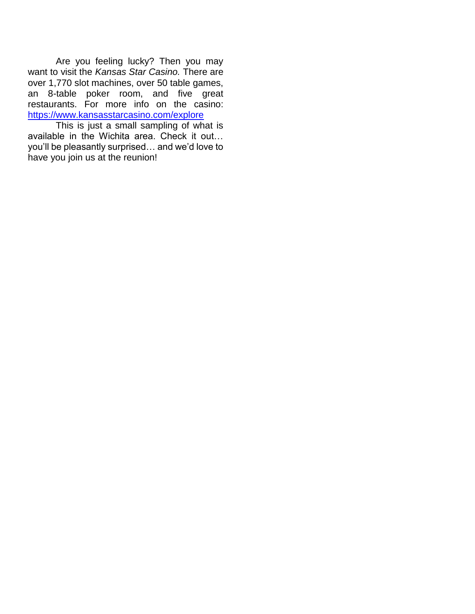Are you feeling lucky? Then you may want to visit the *Kansas Star Casino.* There are over 1,770 slot machines, over 50 table games, an 8-table poker room, and five great restaurants. For more info on the casino: <https://www.kansasstarcasino.com/explore>

This is just a small sampling of what is available in the Wichita area. Check it out… you'll be pleasantly surprised… and we'd love to have you join us at the reunion!